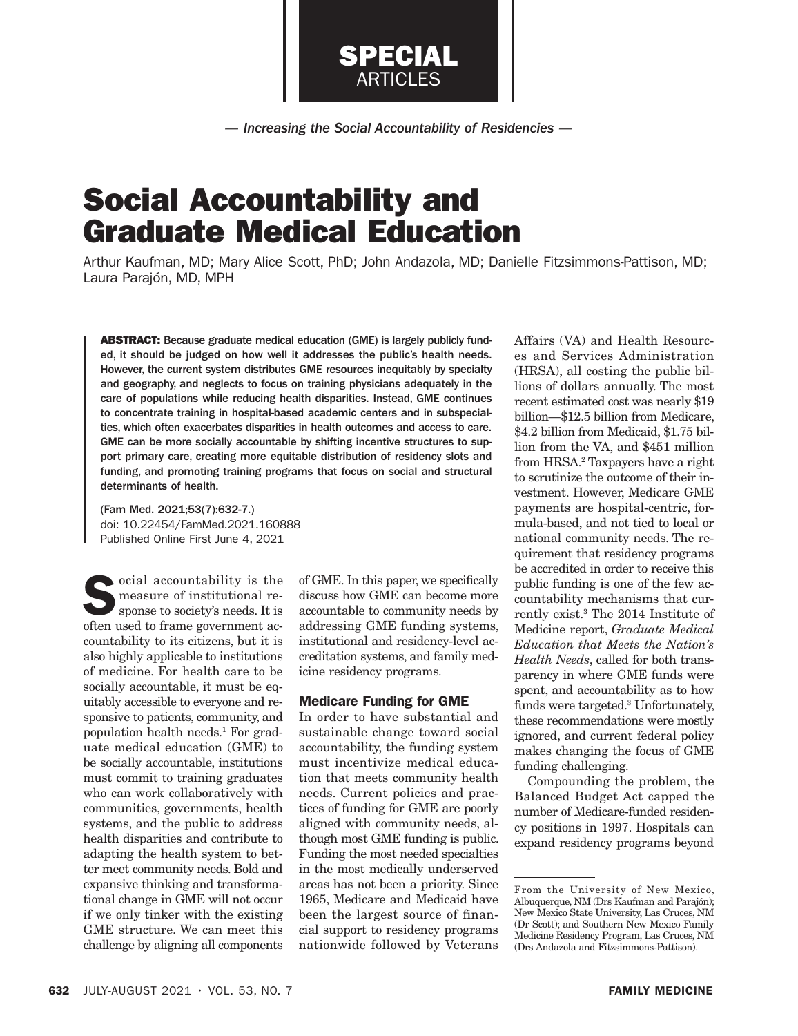*— Increasing the Social Accountability of Residencies —*

SPECIAL ARTICLES

# Social Accountability and Graduate Medical Education

Arthur Kaufman, MD; Mary Alice Scott, PhD; John Andazola, MD; Danielle Fitzsimmons-Pattison, MD; Laura Parajón, MD, MPH

ABSTRACT: Because graduate medical education (GME) is largely publicly funded, it should be judged on how well it addresses the public's health needs. However, the current system distributes GME resources inequitably by specialty and geography, and neglects to focus on training physicians adequately in the care of populations while reducing health disparities. Instead, GME continues to concentrate training in hospital-based academic centers and in subspecialties, which often exacerbates disparities in health outcomes and access to care. GME can be more socially accountable by shifting incentive structures to support primary care, creating more equitable distribution of residency slots and funding, and promoting training programs that focus on social and structural determinants of health.

(Fam Med. 2021;53(7):632-7.) doi: 10.22454/FamMed.2021.160888 Published Online First June 4, 2021

 $\bullet$  ocial accountability is the measure of institutional response to society's needs. It is often used to frame government accountability to its citizens, but it is also highly applicable to institutions of medicine. For health care to be socially accountable, it must be equitably accessible to everyone and responsive to patients, community, and population health needs.1 For graduate medical education (GME) to be socially accountable, institutions must commit to training graduates who can work collaboratively with communities, governments, health systems, and the public to address health disparities and contribute to adapting the health system to better meet community needs. Bold and expansive thinking and transformational change in GME will not occur if we only tinker with the existing GME structure. We can meet this challenge by aligning all components

of GME. In this paper, we specifically discuss how GME can become more accountable to community needs by addressing GME funding systems, institutional and residency-level accreditation systems, and family medicine residency programs.

## Medicare Funding for GME

In order to have substantial and sustainable change toward social accountability, the funding system must incentivize medical education that meets community health needs. Current policies and practices of funding for GME are poorly aligned with community needs, although most GME funding is public. Funding the most needed specialties in the most medically underserved areas has not been a priority. Since 1965, Medicare and Medicaid have been the largest source of financial support to residency programs nationwide followed by Veterans Affairs (VA) and Health Resources and Services Administration (HRSA), all costing the public billions of dollars annually. The most recent estimated cost was nearly \$19 billion—\$12.5 billion from Medicare, \$4.2 billion from Medicaid, \$1.75 billion from the VA, and \$451 million from HRSA.2 Taxpayers have a right to scrutinize the outcome of their investment. However, Medicare GME payments are hospital-centric, formula-based, and not tied to local or national community needs. The requirement that residency programs be accredited in order to receive this public funding is one of the few accountability mechanisms that currently exist.3 The 2014 Institute of Medicine report, *Graduate Medical Education that Meets the Nation's Health Needs*, called for both transparency in where GME funds were spent, and accountability as to how funds were targeted.<sup>3</sup> Unfortunately, these recommendations were mostly ignored, and current federal policy makes changing the focus of GME funding challenging.

Compounding the problem, the Balanced Budget Act capped the number of Medicare-funded residency positions in 1997. Hospitals can expand residency programs beyond

From the University of New Mexico, Albuquerque, NM (Drs Kaufman and Parajón); New Mexico State University, Las Cruces, NM (Dr Scott); and Southern New Mexico Family Medicine Residency Program, Las Cruces, NM (Drs Andazola and Fitzsimmons-Pattison).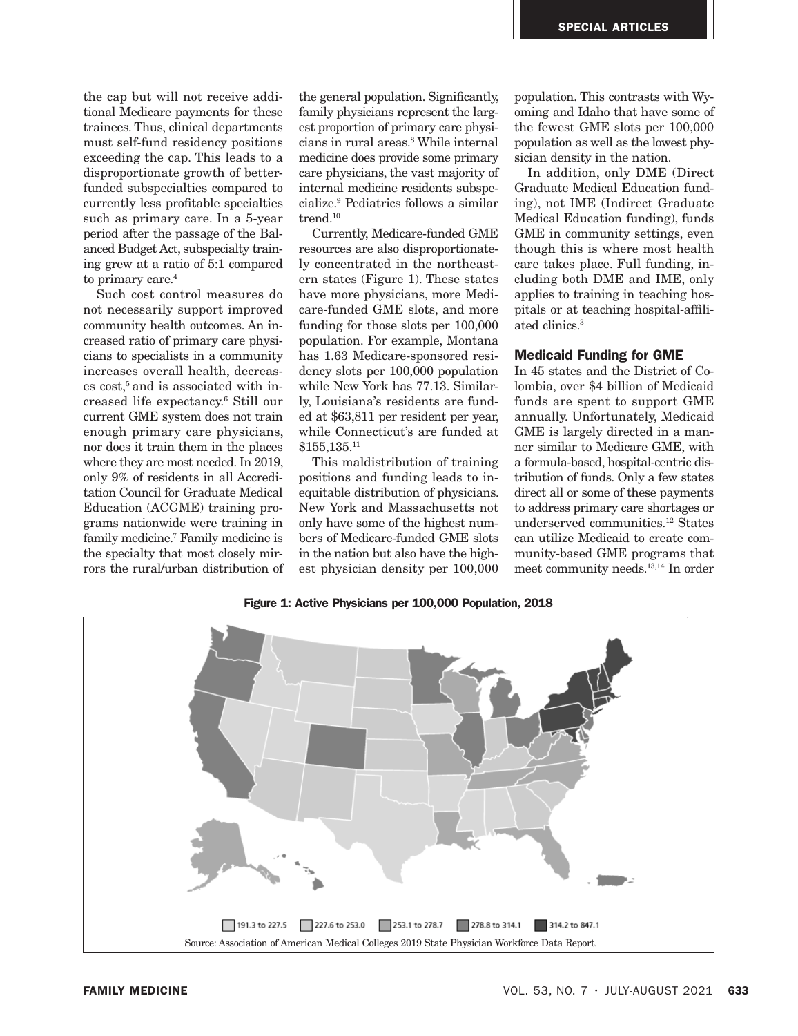the cap but will not receive additional Medicare payments for these trainees. Thus, clinical departments must self-fund residency positions exceeding the cap. This leads to a disproportionate growth of betterfunded subspecialties compared to currently less profitable specialties such as primary care. In a 5-year period after the passage of the Balanced Budget Act, subspecialty training grew at a ratio of 5:1 compared to primary care.<sup>4</sup>

Such cost control measures do not necessarily support improved community health outcomes. An increased ratio of primary care physicians to specialists in a community increases overall health, decreas $es cost<sub>5</sub>$  and is associated with increased life expectancy.6 Still our current GME system does not train enough primary care physicians, nor does it train them in the places where they are most needed. In 2019, only 9% of residents in all Accreditation Council for Graduate Medical Education (ACGME) training programs nationwide were training in family medicine.7 Family medicine is the specialty that most closely mirrors the rural/urban distribution of the general population. Significantly, family physicians represent the largest proportion of primary care physicians in rural areas.8 While internal medicine does provide some primary care physicians, the vast majority of internal medicine residents subspecialize.9 Pediatrics follows a similar trend.10

Currently, Medicare-funded GME resources are also disproportionately concentrated in the northeastern states (Figure 1). These states have more physicians, more Medicare-funded GME slots, and more funding for those slots per 100,000 population. For example, Montana has 1.63 Medicare-sponsored residency slots per 100,000 population while New York has 77.13. Similarly, Louisiana's residents are funded at \$63,811 per resident per year, while Connecticut's are funded at \$155,135.11

This maldistribution of training positions and funding leads to inequitable distribution of physicians. New York and Massachusetts not only have some of the highest numbers of Medicare-funded GME slots in the nation but also have the highest physician density per 100,000

population. This contrasts with Wyoming and Idaho that have some of the fewest GME slots per 100,000 population as well as the lowest physician density in the nation.

In addition, only DME (Direct Graduate Medical Education funding), not IME (Indirect Graduate Medical Education funding), funds GME in community settings, even though this is where most health care takes place. Full funding, including both DME and IME, only applies to training in teaching hospitals or at teaching hospital-affiliated clinics.3

## Medicaid Funding for GME

In 45 states and the District of Colombia, over \$4 billion of Medicaid funds are spent to support GME annually. Unfortunately, Medicaid GME is largely directed in a manner similar to Medicare GME, with a formula-based, hospital-centric distribution of funds. Only a few states direct all or some of these payments to address primary care shortages or underserved communities<sup>12</sup> States can utilize Medicaid to create community-based GME programs that meet community needs.13,14 In order



Figure 1: Active Physicians per 100,000 Population, 2018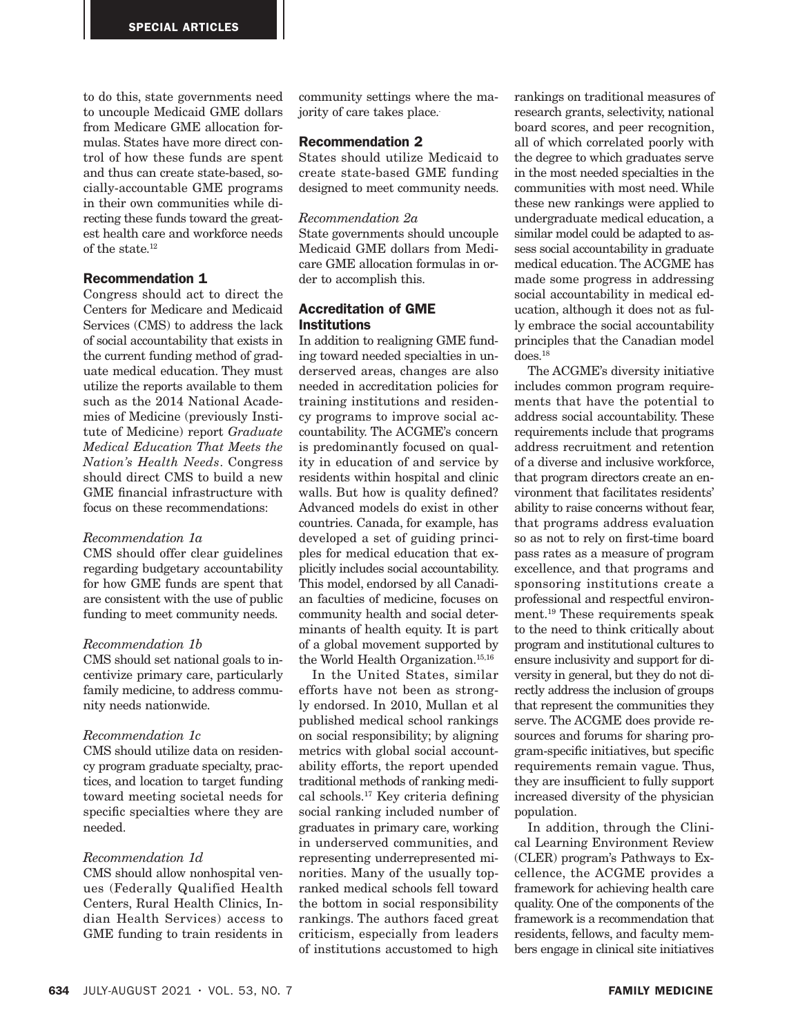to do this, state governments need to uncouple Medicaid GME dollars from Medicare GME allocation formulas. States have more direct control of how these funds are spent and thus can create state-based, socially-accountable GME programs in their own communities while directing these funds toward the greatest health care and workforce needs of the state.12

# Recommendation 1

Congress should act to direct the Centers for Medicare and Medicaid Services (CMS) to address the lack of social accountability that exists in the current funding method of graduate medical education. They must utilize the reports available to them such as the 2014 National Academies of Medicine (previously Institute of Medicine) report *Graduate Medical Education That Meets the Nation's Health Needs*. Congress should direct CMS to build a new GME financial infrastructure with focus on these recommendations:

### *Recommendation 1a*

CMS should offer clear guidelines regarding budgetary accountability for how GME funds are spent that are consistent with the use of public funding to meet community needs.

## *Recommendation 1b*

CMS should set national goals to incentivize primary care, particularly family medicine, to address community needs nationwide.

#### *Recommendation 1c*

CMS should utilize data on residency program graduate specialty, practices, and location to target funding toward meeting societal needs for specific specialties where they are needed.

## *Recommendation 1d*

CMS should allow nonhospital venues (Federally Qualified Health Centers, Rural Health Clinics, Indian Health Services) access to GME funding to train residents in

community settings where the majority of care takes place..

## Recommendation 2

States should utilize Medicaid to create state-based GME funding designed to meet community needs.

#### *Recommendation 2a*

State governments should uncouple Medicaid GME dollars from Medicare GME allocation formulas in order to accomplish this.

## Accreditation of GME **Institutions**

In addition to realigning GME funding toward needed specialties in underserved areas, changes are also needed in accreditation policies for training institutions and residency programs to improve social accountability. The ACGME's concern is predominantly focused on quality in education of and service by residents within hospital and clinic walls. But how is quality defined? Advanced models do exist in other countries. Canada, for example, has developed a set of guiding principles for medical education that explicitly includes social accountability. This model, endorsed by all Canadian faculties of medicine, focuses on community health and social determinants of health equity. It is part of a global movement supported by the World Health Organization.15,16

In the United States, similar efforts have not been as strongly endorsed. In 2010, Mullan et al published medical school rankings on social responsibility; by aligning metrics with global social accountability efforts, the report upended traditional methods of ranking medical schools.17 Key criteria defining social ranking included number of graduates in primary care, working in underserved communities, and representing underrepresented minorities. Many of the usually topranked medical schools fell toward the bottom in social responsibility rankings. The authors faced great criticism, especially from leaders of institutions accustomed to high

rankings on traditional measures of research grants, selectivity, national board scores, and peer recognition, all of which correlated poorly with the degree to which graduates serve in the most needed specialties in the communities with most need. While these new rankings were applied to undergraduate medical education, a similar model could be adapted to assess social accountability in graduate medical education. The ACGME has made some progress in addressing social accountability in medical education, although it does not as fully embrace the social accountability principles that the Canadian model does.18

The ACGME's diversity initiative includes common program requirements that have the potential to address social accountability. These requirements include that programs address recruitment and retention of a diverse and inclusive workforce, that program directors create an environment that facilitates residents' ability to raise concerns without fear, that programs address evaluation so as not to rely on first-time board pass rates as a measure of program excellence, and that programs and sponsoring institutions create a professional and respectful environment.19 These requirements speak to the need to think critically about program and institutional cultures to ensure inclusivity and support for diversity in general, but they do not directly address the inclusion of groups that represent the communities they serve. The ACGME does provide resources and forums for sharing program-specific initiatives, but specific requirements remain vague. Thus, they are insufficient to fully support increased diversity of the physician population.

In addition, through the Clinical Learning Environment Review (CLER) program's Pathways to Excellence, the ACGME provides a framework for achieving health care quality. One of the components of the framework is a recommendation that residents, fellows, and faculty members engage in clinical site initiatives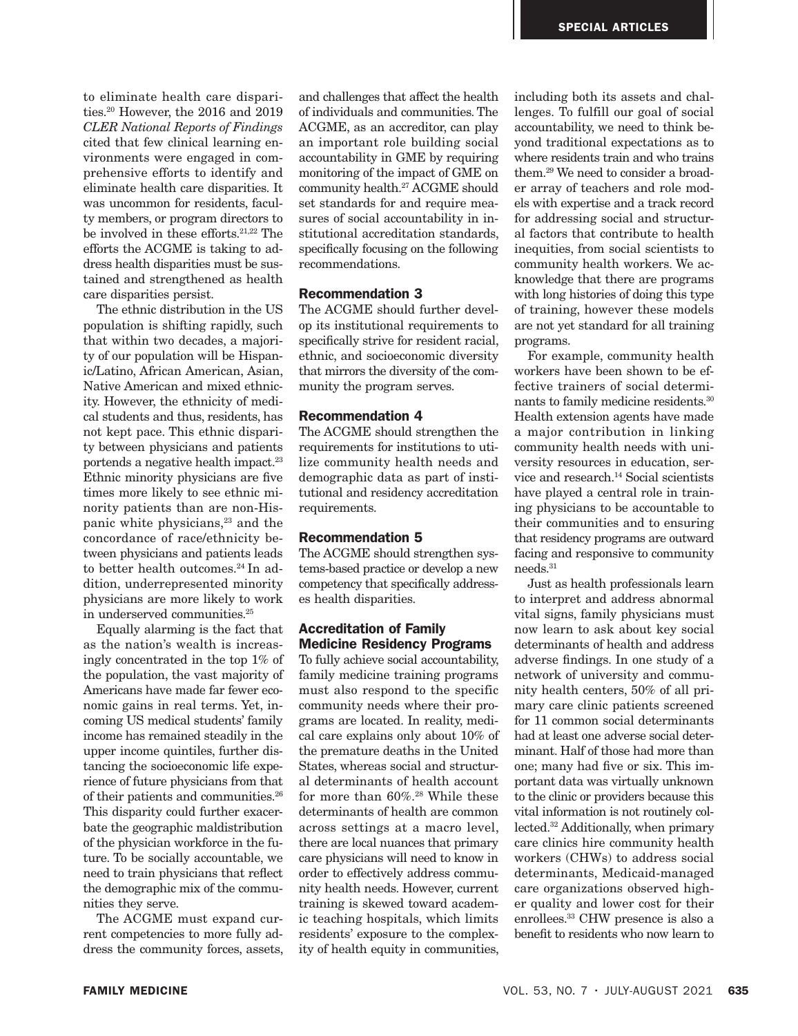to eliminate health care disparities.<sup>20</sup> However, the 2016 and 2019 *CLER National Reports of Findings* cited that few clinical learning environments were engaged in comprehensive efforts to identify and eliminate health care disparities. It was uncommon for residents, faculty members, or program directors to be involved in these efforts.21,22 The efforts the ACGME is taking to address health disparities must be sustained and strengthened as health care disparities persist.

The ethnic distribution in the US population is shifting rapidly, such that within two decades, a majority of our population will be Hispanic/Latino, African American, Asian, Native American and mixed ethnicity. However, the ethnicity of medical students and thus, residents, has not kept pace. This ethnic disparity between physicians and patients portends a negative health impact.<sup>23</sup> Ethnic minority physicians are five times more likely to see ethnic minority patients than are non-Hispanic white physicians,<sup>23</sup> and the concordance of race/ethnicity between physicians and patients leads to better health outcomes.<sup>24</sup> In addition, underrepresented minority physicians are more likely to work in underserved communities.<sup>25</sup>

Equally alarming is the fact that as the nation's wealth is increasingly concentrated in the top 1% of the population, the vast majority of Americans have made far fewer economic gains in real terms. Yet, incoming US medical students' family income has remained steadily in the upper income quintiles, further distancing the socioeconomic life experience of future physicians from that of their patients and communities.<sup>26</sup> This disparity could further exacerbate the geographic maldistribution of the physician workforce in the future. To be socially accountable, we need to train physicians that reflect the demographic mix of the communities they serve.

The ACGME must expand current competencies to more fully address the community forces, assets,

and challenges that affect the health of individuals and communities. The ACGME, as an accreditor, can play an important role building social accountability in GME by requiring monitoring of the impact of GME on community health.27 ACGME should set standards for and require measures of social accountability in institutional accreditation standards, specifically focusing on the following recommendations.

## Recommendation 3

The ACGME should further develop its institutional requirements to specifically strive for resident racial, ethnic, and socioeconomic diversity that mirrors the diversity of the community the program serves.

#### Recommendation 4

The ACGME should strengthen the requirements for institutions to utilize community health needs and demographic data as part of institutional and residency accreditation requirements.

## Recommendation 5

The ACGME should strengthen systems-based practice or develop a new competency that specifically addresses health disparities.

## Accreditation of Family Medicine Residency Programs

To fully achieve social accountability, family medicine training programs must also respond to the specific community needs where their programs are located. In reality, medical care explains only about 10% of the premature deaths in the United States, whereas social and structural determinants of health account for more than  $60\%$ .<sup>28</sup> While these determinants of health are common across settings at a macro level, there are local nuances that primary care physicians will need to know in order to effectively address community health needs. However, current training is skewed toward academic teaching hospitals, which limits residents' exposure to the complexity of health equity in communities,

including both its assets and challenges. To fulfill our goal of social accountability, we need to think beyond traditional expectations as to where residents train and who trains them.29 We need to consider a broader array of teachers and role models with expertise and a track record for addressing social and structural factors that contribute to health inequities, from social scientists to community health workers. We acknowledge that there are programs with long histories of doing this type of training, however these models are not yet standard for all training programs.

For example, community health workers have been shown to be effective trainers of social determinants to family medicine residents.30 Health extension agents have made a major contribution in linking community health needs with university resources in education, service and research.14 Social scientists have played a central role in training physicians to be accountable to their communities and to ensuring that residency programs are outward facing and responsive to community needs.31

Just as health professionals learn to interpret and address abnormal vital signs, family physicians must now learn to ask about key social determinants of health and address adverse findings. In one study of a network of university and community health centers, 50% of all primary care clinic patients screened for 11 common social determinants had at least one adverse social determinant. Half of those had more than one; many had five or six. This important data was virtually unknown to the clinic or providers because this vital information is not routinely collected.32 Additionally, when primary care clinics hire community health workers (CHWs) to address social determinants, Medicaid-managed care organizations observed higher quality and lower cost for their enrollees.33 CHW presence is also a benefit to residents who now learn to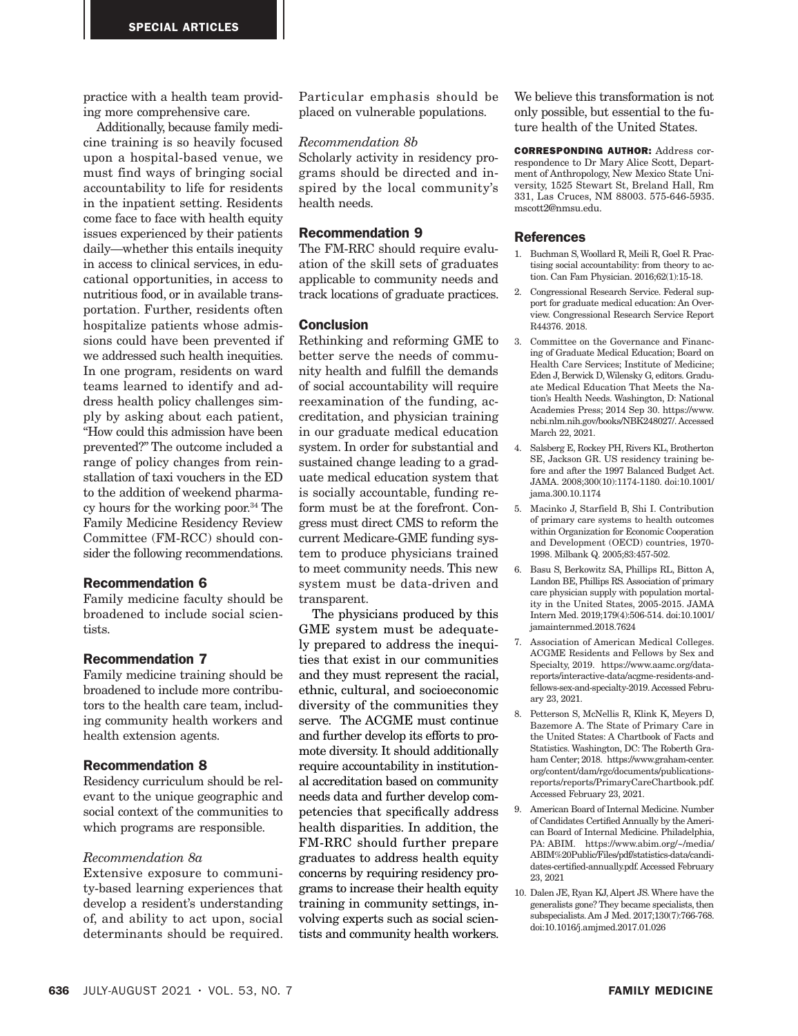practice with a health team providing more comprehensive care.

Additionally, because family medicine training is so heavily focused upon a hospital-based venue, we must find ways of bringing social accountability to life for residents in the inpatient setting. Residents come face to face with health equity issues experienced by their patients daily—whether this entails inequity in access to clinical services, in educational opportunities, in access to nutritious food, or in available transportation. Further, residents often hospitalize patients whose admissions could have been prevented if we addressed such health inequities. In one program, residents on ward teams learned to identify and address health policy challenges simply by asking about each patient, "How could this admission have been prevented?" The outcome included a range of policy changes from reinstallation of taxi vouchers in the ED to the addition of weekend pharmacy hours for the working poor.34 The Family Medicine Residency Review Committee (FM-RCC) should consider the following recommendations.

## Recommendation 6

Family medicine faculty should be broadened to include social scientists.

#### Recommendation 7

Family medicine training should be broadened to include more contributors to the health care team, including community health workers and health extension agents.

#### Recommendation 8

Residency curriculum should be relevant to the unique geographic and social context of the communities to which programs are responsible.

# *Recommendation 8a*

Extensive exposure to community-based learning experiences that develop a resident's understanding of, and ability to act upon, social determinants should be required.

Particular emphasis should be placed on vulnerable populations.

#### *Recommendation 8b*

Scholarly activity in residency programs should be directed and inspired by the local community's health needs.

## Recommendation 9

The FM-RRC should require evaluation of the skill sets of graduates applicable to community needs and track locations of graduate practices.

### **Conclusion**

Rethinking and reforming GME to better serve the needs of community health and fulfill the demands of social accountability will require reexamination of the funding, accreditation, and physician training in our graduate medical education system. In order for substantial and sustained change leading to a graduate medical education system that is socially accountable, funding reform must be at the forefront. Congress must direct CMS to reform the current Medicare-GME funding system to produce physicians trained to meet community needs. This new system must be data-driven and transparent.

The physicians produced by this GME system must be adequately prepared to address the inequities that exist in our communities and they must represent the racial, ethnic, cultural, and socioeconomic diversity of the communities they serve. The ACGME must continue and further develop its efforts to promote diversity. It should additionally require accountability in institutional accreditation based on community needs data and further develop competencies that specifically address health disparities. In addition, the FM-RRC should further prepare graduates to address health equity concerns by requiring residency programs to increase their health equity training in community settings, involving experts such as social scientists and community health workers.

We believe this transformation is not only possible, but essential to the future health of the United States.

CORRESPONDING AUTHOR: Address correspondence to Dr Mary Alice Scott, Department of Anthropology, New Mexico State University, 1525 Stewart St, Breland Hall, Rm 331, Las Cruces, NM 88003. 575-646-5935. mscott2@nmsu.edu.

#### **References**

- 1. Buchman S, Woollard R, Meili R, Goel R. Practising social accountability: from theory to action. Can Fam Physician. 2016;62(1):15-18.
- 2. Congressional Research Service. Federal support for graduate medical education: An Overview. Congressional Research Service Report R44376. 2018.
- 3. Committee on the Governance and Financing of Graduate Medical Education; Board on Health Care Services; Institute of Medicine; Eden J, Berwick D, Wilensky G, editors. Graduate Medical Education That Meets the Nation's Health Needs. Washington, D: National Academies Press; 2014 Sep 30. https://www. ncbi.nlm.nih.gov/books/NBK248027/. Accessed March 22, 2021.
- 4. Salsberg E, Rockey PH, Rivers KL, Brotherton SE, Jackson GR. US residency training before and after the 1997 Balanced Budget Act. JAMA. 2008;300(10):1174-1180. doi:10.1001/ jama.300.10.1174
- 5. Macinko J, Starfield B, Shi I. Contribution of primary care systems to health outcomes within Organization for Economic Cooperation and Development (OECD) countries, 1970- 1998. Milbank Q. 2005;83:457-502.
- 6. Basu S, Berkowitz SA, Phillips RL, Bitton A, Landon BE, Phillips RS. Association of primary care physician supply with population mortality in the United States, 2005-2015. JAMA Intern Med. 2019;179(4):506-514. doi:10.1001/ jamainternmed.2018.7624
- 7. Association of American Medical Colleges. ACGME Residents and Fellows by Sex and Specialty, 2019. https://www.aamc.org/datareports/interactive-data/acgme-residents-andfellows-sex-and-specialty-2019. Accessed February 23, 2021.
- 8. Petterson S, McNellis R, Klink K, Meyers D, Bazemore A. The State of Primary Care in the United States: A Chartbook of Facts and Statistics. Washington, DC: The Roberth Graham Center; 2018. https://www.graham-center. org/content/dam/rgc/documents/publicationsreports/reports/PrimaryCareChartbook.pdf. Accessed February 23, 2021.
- 9. American Board of Internal Medicine. Number of Candidates Certified Annually by the American Board of Internal Medicine. Philadelphia, PA: ABIM. https://www.abim.org/~/media/ ABIM%20Public/Files/pdf/statistics-data/candidates-certified-annually.pdf. Accessed February 23, 2021
- 10. Dalen JE, Ryan KJ, Alpert JS. Where have the generalists gone? They became specialists, then subspecialists. Am J Med. 2017;130(7):766-768. doi:10.1016/j.amjmed.2017.01.026